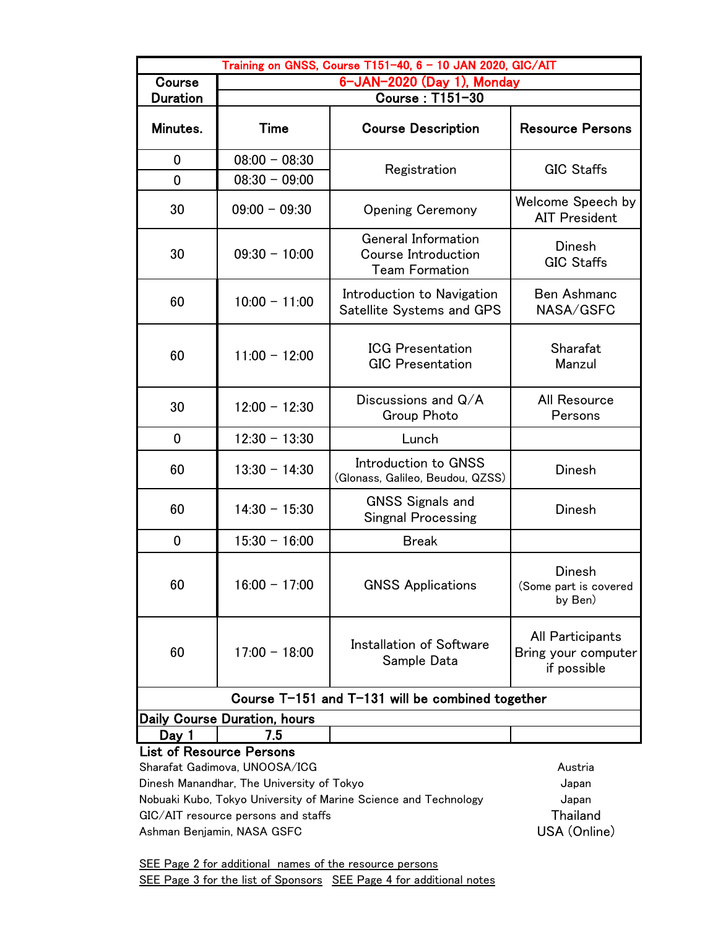| Training on GNSS, Course T151-40, 6 - 10 JAN 2020, GIC/AIT                                             |                                                                                       |                                                                     |                                                        |
|--------------------------------------------------------------------------------------------------------|---------------------------------------------------------------------------------------|---------------------------------------------------------------------|--------------------------------------------------------|
| Course                                                                                                 | 6-JAN-2020 (Day 1), Monday                                                            |                                                                     |                                                        |
| <b>Duration</b>                                                                                        |                                                                                       | Course: T151-30                                                     |                                                        |
| Minutes.                                                                                               | Time                                                                                  | <b>Course Description</b>                                           | <b>Resource Persons</b>                                |
| 0<br>$\mathbf 0$                                                                                       | $08:00 - 08:30$<br>$08:30 - 09:00$                                                    | Registration                                                        | <b>GIC Staffs</b>                                      |
| 30                                                                                                     | $09:00 - 09:30$                                                                       | <b>Opening Ceremony</b>                                             | Welcome Speech by<br><b>AIT President</b>              |
| 30                                                                                                     | $09:30 - 10:00$                                                                       | General Information<br>Course Introduction<br><b>Team Formation</b> | <b>Dinesh</b><br><b>GIC Staffs</b>                     |
| 60                                                                                                     | $10:00 - 11:00$                                                                       | Introduction to Navigation<br>Satellite Systems and GPS             | <b>Ben Ashmanc</b><br>NASA/GSFC                        |
| 60                                                                                                     | $11:00 - 12:00$                                                                       | <b>ICG Presentation</b><br><b>GIC Presentation</b>                  | Sharafat<br>Manzul                                     |
| 30                                                                                                     | $12:00 - 12:30$                                                                       | Discussions and $Q/A$<br>Group Photo                                | All Resource<br>Persons                                |
| $\mathbf 0$                                                                                            | $12:30 - 13:30$                                                                       | Lunch                                                               |                                                        |
| 60                                                                                                     | $13:30 - 14:30$                                                                       | Introduction to GNSS<br>(Glonass, Galileo, Beudou, QZSS)            | Dinesh                                                 |
| 60                                                                                                     | $14:30 - 15:30$                                                                       | <b>GNSS Signals and</b><br><b>Singnal Processing</b>                | Dinesh                                                 |
| $\mathbf 0$                                                                                            | $15:30 - 16:00$                                                                       | <b>Break</b>                                                        |                                                        |
| 60                                                                                                     | $16:00 - 17:00$                                                                       | <b>GNSS Applications</b>                                            | Dinesh<br>(Some part is covered<br>by Ben)             |
| 60                                                                                                     | $17:00 - 18:00$                                                                       | Installation of Software<br>Sample Data                             | All Participants<br>Bring your computer<br>if possible |
| Course T-151 and T-131 will be combined together                                                       |                                                                                       |                                                                     |                                                        |
| Daily Course Duration, hours                                                                           |                                                                                       |                                                                     |                                                        |
| Day 1                                                                                                  | 7.5                                                                                   |                                                                     |                                                        |
| <b>List of Resource Persons</b>                                                                        |                                                                                       |                                                                     |                                                        |
|                                                                                                        | Sharafat Gadimova, UNOOSA/ICG<br>Austria<br>Dinesh Manandhar, The University of Tokyo |                                                                     |                                                        |
|                                                                                                        |                                                                                       |                                                                     | Japan<br>Japan                                         |
| Nobuaki Kubo, Tokyo University of Marine Science and Technology<br>GIC/AIT resource persons and staffs |                                                                                       |                                                                     | Thailand                                               |
| Ashman Benjamin, NASA GSFC                                                                             |                                                                                       |                                                                     | USA (Online)                                           |

SEE Page 2 for additional names of the resource persons SEE Page 3 for the list of Sponsors SEE Page 4 for additional notes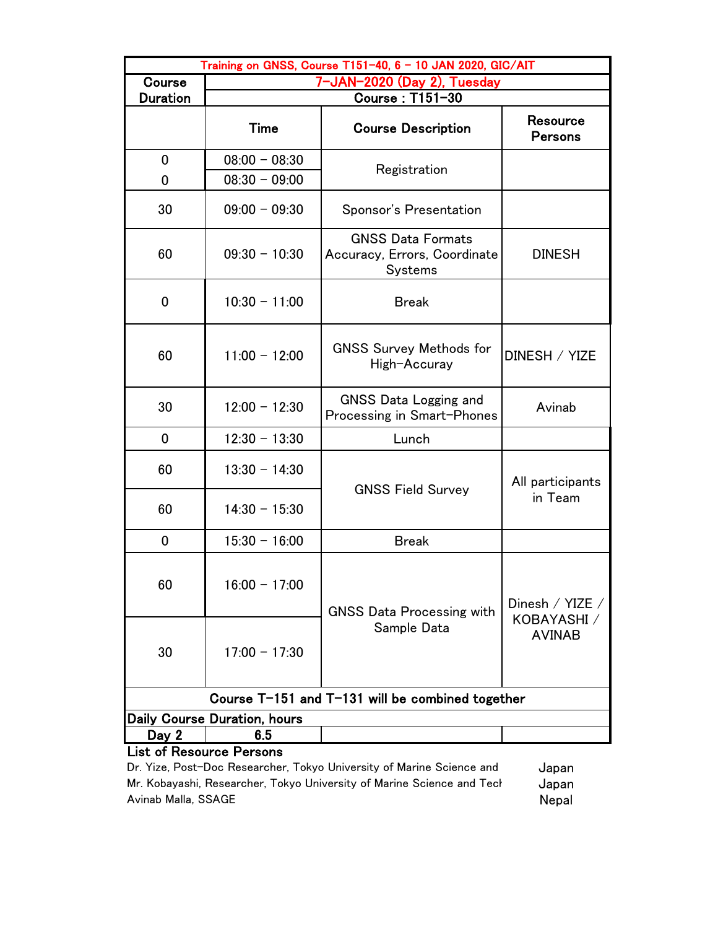| Training on GNSS, Course T151-40, 6 - 10 JAN 2020, GIC/AIT |                                     |                                                                            |                              |
|------------------------------------------------------------|-------------------------------------|----------------------------------------------------------------------------|------------------------------|
| Course                                                     | 7-JAN-2020 (Day 2), Tuesday         |                                                                            |                              |
| <b>Duration</b>                                            | Course: T151-30                     |                                                                            |                              |
|                                                            | Time                                | <b>Course Description</b>                                                  | Resource<br><b>Persons</b>   |
| $\mathbf 0$                                                | $08:00 - 08:30$                     | Registration                                                               |                              |
| 0                                                          | $08:30 - 09:00$                     |                                                                            |                              |
| 30                                                         | $09:00 - 09:30$                     | Sponsor's Presentation                                                     |                              |
| 60                                                         | $09:30 - 10:30$                     | <b>GNSS Data Formats</b><br>Accuracy, Errors, Coordinate<br><b>Systems</b> | <b>DINESH</b>                |
| 0                                                          | $10:30 - 11:00$                     | <b>Break</b>                                                               |                              |
| 60                                                         | $11:00 - 12:00$                     | <b>GNSS Survey Methods for</b><br>High-Accuray                             | DINESH / YIZE                |
| 30                                                         | $12:00 - 12:30$                     | GNSS Data Logging and<br>Processing in Smart-Phones                        | Avinab                       |
| 0                                                          | $12:30 - 13:30$                     | Lunch                                                                      |                              |
| 60                                                         | $13:30 - 14:30$                     | <b>GNSS Field Survey</b>                                                   | All participants<br>in Team  |
| 60                                                         | $14:30 - 15:30$                     |                                                                            |                              |
| 0                                                          | $15:30 - 16:00$                     | <b>Break</b>                                                               |                              |
| 60                                                         | $16:00 - 17:00$                     | <b>GNSS Data Processing with</b>                                           | Dinesh / YIZE /              |
| 30                                                         | $17:00 - 17:30$                     | Sample Data                                                                | KOBAYASHI /<br><b>AVINAB</b> |
| Course T-151 and T-131 will be combined together           |                                     |                                                                            |                              |
|                                                            | <b>Daily Course Duration, hours</b> |                                                                            |                              |
| Day 2<br>List of Desaures Dersons                          | 6.5                                 |                                                                            |                              |

## List of Resource Persons

Dr. Yize, Post-Doc Researcher, Tokyo University of Marine Science and Japan Mr. Kobayashi, Researcher, Tokyo University of Marine Science and Technology<br>Avinab Malla, SSAGE Avinab Malla, SSAGE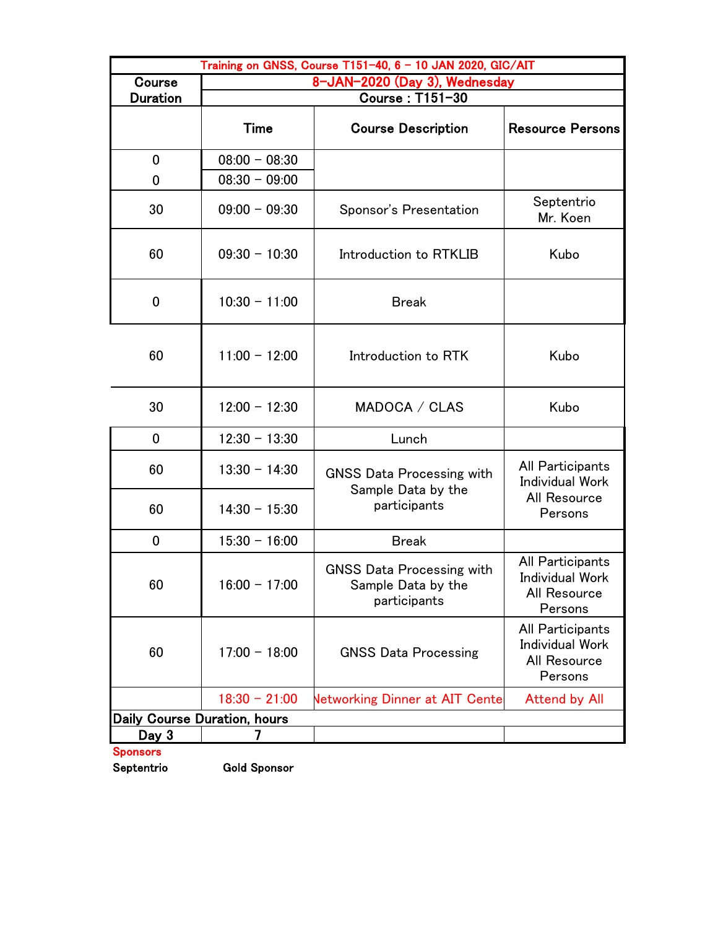| Training on GNSS, Course T151-40, 6 - 10 JAN 2020, GIC/AIT |                               |                                                                        |                                                                       |
|------------------------------------------------------------|-------------------------------|------------------------------------------------------------------------|-----------------------------------------------------------------------|
| Course                                                     | 8-JAN-2020 (Day 3), Wednesday |                                                                        |                                                                       |
| <b>Duration</b>                                            | <b>Course: T151-30</b>        |                                                                        |                                                                       |
|                                                            | Time                          | <b>Course Description</b>                                              | <b>Resource Persons</b>                                               |
| $\mathbf 0$                                                | $08:00 - 08:30$               |                                                                        |                                                                       |
| 0                                                          | $08:30 - 09:00$               |                                                                        |                                                                       |
| 30                                                         | $09:00 - 09:30$               | Sponsor's Presentation                                                 | Septentrio<br>Mr. Koen                                                |
| 60                                                         | $09:30 - 10:30$               | Introduction to RTKLIB                                                 | Kubo                                                                  |
| 0                                                          | $10:30 - 11:00$               | <b>Break</b>                                                           |                                                                       |
| 60                                                         | $11:00 - 12:00$               | Introduction to RTK                                                    | Kubo                                                                  |
| 30                                                         | $12:00 - 12:30$               | MADOCA / CLAS                                                          | Kubo                                                                  |
| $\mathbf 0$                                                | $12:30 - 13:30$               | Lunch                                                                  |                                                                       |
| 60                                                         | $13:30 - 14:30$               | <b>GNSS Data Processing with</b><br>Sample Data by the                 | All Participants<br><b>Individual Work</b>                            |
| 60                                                         | $14:30 - 15:30$               | participants                                                           | All Resource<br>Persons                                               |
| $\mathbf 0$                                                | $15:30 - 16:00$               | <b>Break</b>                                                           |                                                                       |
| 60                                                         | $16:00 - 17:00$               | <b>GNSS Data Processing with</b><br>Sample Data by the<br>participants | All Participants<br>Individual Work<br>All Resource<br>Persons        |
| 60                                                         | $17:00 - 18:00$               | <b>GNSS Data Processing</b>                                            | All Participants<br><b>Individual Work</b><br>All Resource<br>Persons |
|                                                            | $18:30 - 21:00$               | <b>Networking Dinner at AIT Cente</b>                                  | <b>Attend by All</b>                                                  |
| <b>Daily Course Duration, hours</b>                        |                               |                                                                        |                                                                       |
| Day 3                                                      |                               |                                                                        |                                                                       |
| <b>Sponsors</b>                                            |                               |                                                                        |                                                                       |

Septentrio Gold Sponsor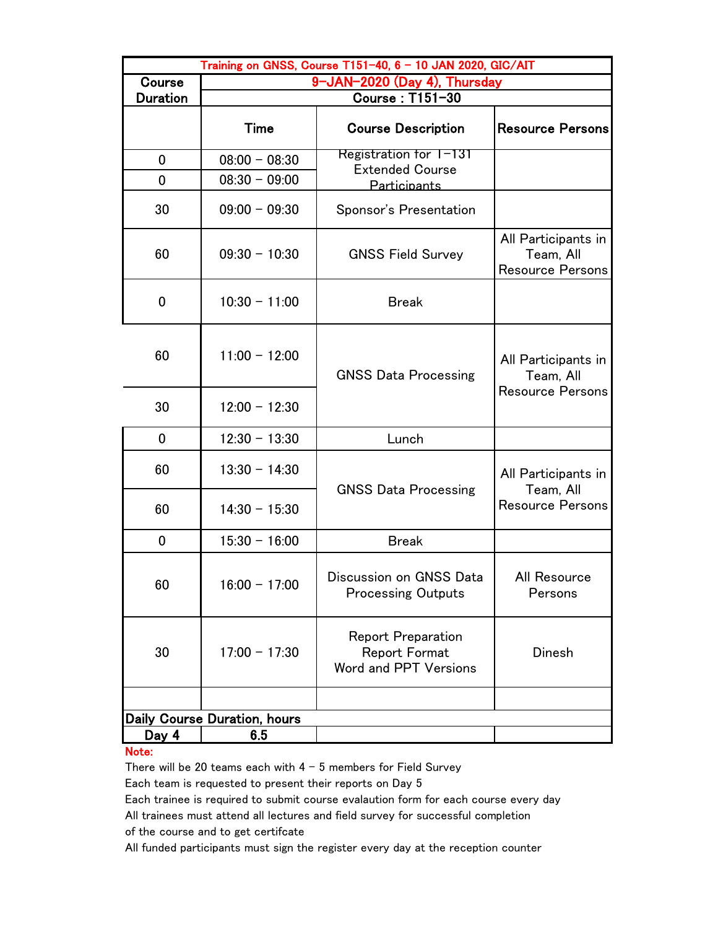| Training on GNSS, Course T151-40, 6 - 10 JAN 2020, GIC/AIT |                              |                                                                            |                                                             |
|------------------------------------------------------------|------------------------------|----------------------------------------------------------------------------|-------------------------------------------------------------|
| Course                                                     | 9-JAN-2020 (Day 4), Thursday |                                                                            |                                                             |
| <b>Duration</b>                                            |                              | <b>Course: T151-30</b>                                                     |                                                             |
|                                                            | <b>Time</b>                  | <b>Course Description</b>                                                  | <b>Resource Persons</b>                                     |
| 0                                                          | $08:00 - 08:30$              | Registration for T-131                                                     |                                                             |
| 0                                                          | $08:30 - 09:00$              | <b>Extended Course</b><br><b>Participants</b>                              |                                                             |
| 30                                                         | $09:00 - 09:30$              | Sponsor's Presentation                                                     |                                                             |
| 60                                                         | $09:30 - 10:30$              | <b>GNSS Field Survey</b>                                                   | All Participants in<br>Team, All<br><b>Resource Persons</b> |
| 0                                                          | $10:30 - 11:00$              | <b>Break</b>                                                               |                                                             |
| 60                                                         | $11:00 - 12:00$              | <b>GNSS Data Processing</b>                                                | All Participants in<br>Team, All<br><b>Resource Persons</b> |
| 30                                                         | $12:00 - 12:30$              |                                                                            |                                                             |
| 0                                                          | $12:30 - 13:30$              | Lunch                                                                      |                                                             |
| 60                                                         | $13:30 - 14:30$              | <b>GNSS Data Processing</b>                                                | All Participants in<br>Team, All                            |
| 60                                                         | $14:30 - 15:30$              |                                                                            | <b>Resource Persons</b>                                     |
| 0                                                          | $15:30 - 16:00$              | <b>Break</b>                                                               |                                                             |
| 60                                                         | $16:00 - 17:00$              | Discussion on GNSS Data<br><b>Processing Outputs</b>                       | All Resource<br>Persons                                     |
| 30                                                         | $17:00 - 17:30$              | <b>Report Preparation</b><br><b>Report Format</b><br>Word and PPT Versions | Dinesh                                                      |
|                                                            |                              |                                                                            |                                                             |
|                                                            | Daily Course Duration, hours |                                                                            |                                                             |
| <u>Day 4</u>                                               | 6.5                          |                                                                            |                                                             |

## Note:

There will be 20 teams each with  $4 - 5$  members for Field Survey Each team is requested to present their reports on Day 5

Each trainee is required to submit course evalaution form for each course every day

All trainees must attend all lectures and field survey for successful completion

of the course and to get certifcate

All funded participants must sign the register every day at the reception counter